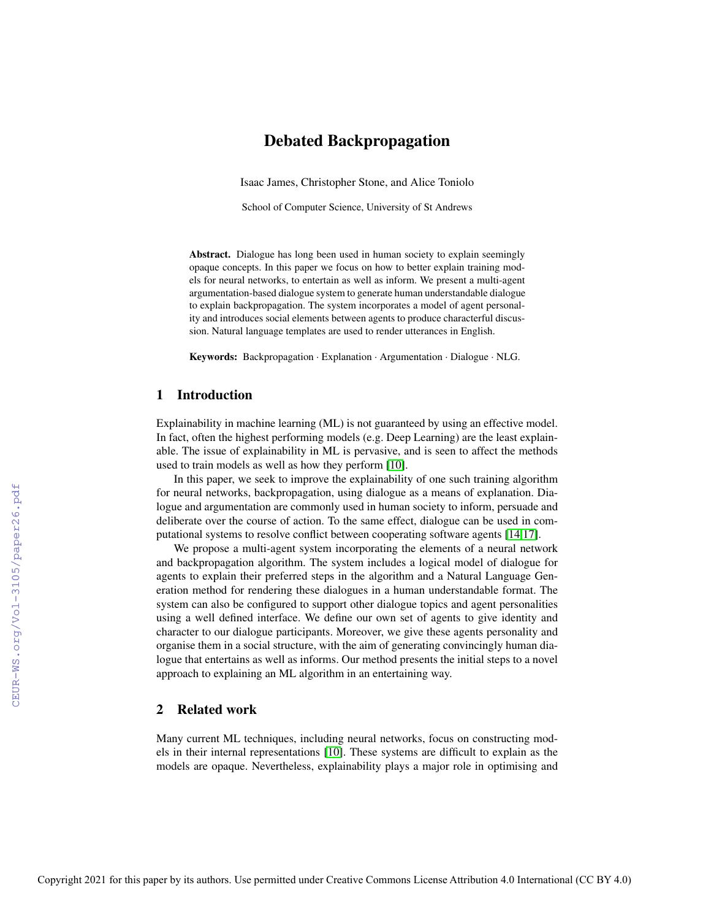# Debated Backpropagation

Isaac James, Christopher Stone, and Alice Toniolo

School of Computer Science, University of St Andrews

Abstract. Dialogue has long been used in human society to explain seemingly opaque concepts. In this paper we focus on how to better explain training models for neural networks, to entertain as well as inform. We present a multi-agent argumentation-based dialogue system to generate human understandable dialogue to explain backpropagation. The system incorporates a model of agent personality and introduces social elements between agents to produce characterful discussion. Natural language templates are used to render utterances in English.

Keywords: Backpropagation · Explanation · Argumentation · Dialogue · NLG.

### 1 Introduction

Explainability in machine learning (ML) is not guaranteed by using an effective model. In fact, often the highest performing models (e.g. Deep Learning) are the least explainable. The issue of explainability in ML is pervasive, and is seen to affect the methods used to train models as well as how they perform [\[10\]](#page--1-0).

In this paper, we seek to improve the explainability of one such training algorithm for neural networks, backpropagation, using dialogue as a means of explanation. Dialogue and argumentation are commonly used in human society to inform, persuade and deliberate over the course of action. To the same effect, dialogue can be used in computational systems to resolve conflict between cooperating software agents [\[14,](#page--1-1)[17\]](#page--1-2).

We propose a multi-agent system incorporating the elements of a neural network and backpropagation algorithm. The system includes a logical model of dialogue for agents to explain their preferred steps in the algorithm and a Natural Language Generation method for rendering these dialogues in a human understandable format. The system can also be configured to support other dialogue topics and agent personalities using a well defined interface. We define our own set of agents to give identity and character to our dialogue participants. Moreover, we give these agents personality and organise them in a social structure, with the aim of generating convincingly human dialogue that entertains as well as informs. Our method presents the initial steps to a novel approach to explaining an ML algorithm in an entertaining way.

## 2 Related work

Many current ML techniques, including neural networks, focus on constructing models in their internal representations [\[10\]](#page--1-0). These systems are difficult to explain as the models are opaque. Nevertheless, explainability plays a major role in optimising and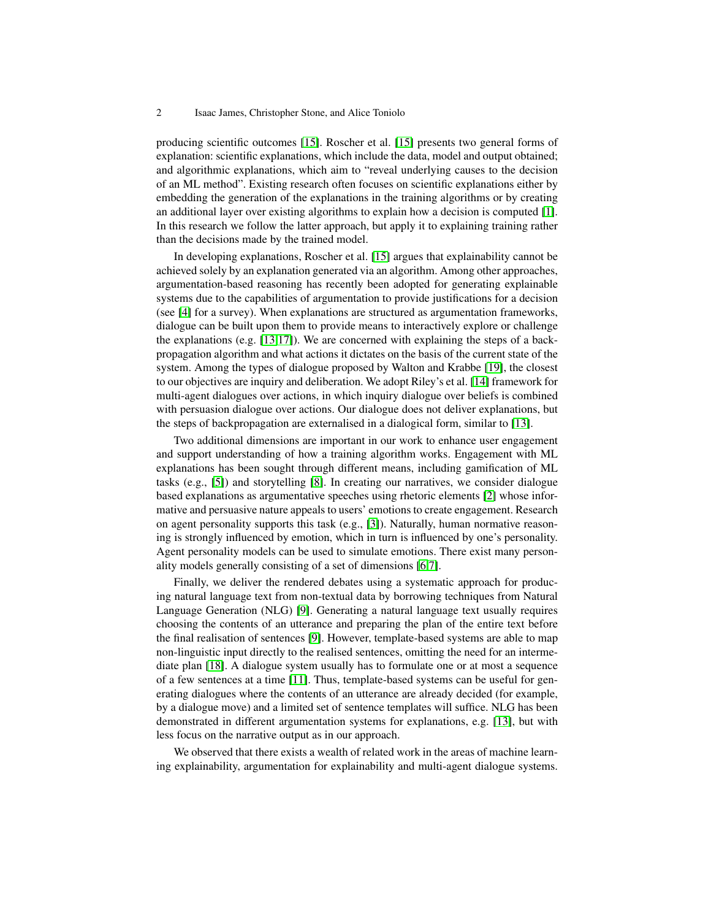producing scientific outcomes [\[15\]](#page-11-0). Roscher et al. [\[15\]](#page-11-0) presents two general forms of explanation: scientific explanations, which include the data, model and output obtained; and algorithmic explanations, which aim to "reveal underlying causes to the decision of an ML method". Existing research often focuses on scientific explanations either by embedding the generation of the explanations in the training algorithms or by creating an additional layer over existing algorithms to explain how a decision is computed [\[1\]](#page-11-1). In this research we follow the latter approach, but apply it to explaining training rather than the decisions made by the trained model.

In developing explanations, Roscher et al. [\[15\]](#page-11-0) argues that explainability cannot be achieved solely by an explanation generated via an algorithm. Among other approaches, argumentation-based reasoning has recently been adopted for generating explainable systems due to the capabilities of argumentation to provide justifications for a decision (see [\[4\]](#page-11-2) for a survey). When explanations are structured as argumentation frameworks, dialogue can be built upon them to provide means to interactively explore or challenge the explanations (e.g.  $[13,17]$  $[13,17]$ ). We are concerned with explaining the steps of a backpropagation algorithm and what actions it dictates on the basis of the current state of the system. Among the types of dialogue proposed by Walton and Krabbe [\[19\]](#page-11-5), the closest to our objectives are inquiry and deliberation. We adopt Riley's et al. [\[14\]](#page-11-6) framework for multi-agent dialogues over actions, in which inquiry dialogue over beliefs is combined with persuasion dialogue over actions. Our dialogue does not deliver explanations, but the steps of backpropagation are externalised in a dialogical form, similar to [\[13\]](#page-11-3).

Two additional dimensions are important in our work to enhance user engagement and support understanding of how a training algorithm works. Engagement with ML explanations has been sought through different means, including gamification of ML tasks (e.g., [\[5\]](#page-11-7)) and storytelling [\[8\]](#page-11-8). In creating our narratives, we consider dialogue based explanations as argumentative speeches using rhetoric elements [\[2\]](#page-11-9) whose informative and persuasive nature appeals to users' emotions to create engagement. Research on agent personality supports this task (e.g., [\[3\]](#page-11-10)). Naturally, human normative reasoning is strongly influenced by emotion, which in turn is influenced by one's personality. Agent personality models can be used to simulate emotions. There exist many personality models generally consisting of a set of dimensions [\[6](#page-11-11)[,7\]](#page-11-12).

Finally, we deliver the rendered debates using a systematic approach for producing natural language text from non-textual data by borrowing techniques from Natural Language Generation (NLG) [\[9\]](#page-11-13). Generating a natural language text usually requires choosing the contents of an utterance and preparing the plan of the entire text before the final realisation of sentences [\[9\]](#page-11-13). However, template-based systems are able to map non-linguistic input directly to the realised sentences, omitting the need for an intermediate plan [\[18\]](#page-11-14). A dialogue system usually has to formulate one or at most a sequence of a few sentences at a time [\[11\]](#page-11-15). Thus, template-based systems can be useful for generating dialogues where the contents of an utterance are already decided (for example, by a dialogue move) and a limited set of sentence templates will suffice. NLG has been demonstrated in different argumentation systems for explanations, e.g. [\[13\]](#page-11-3), but with less focus on the narrative output as in our approach.

We observed that there exists a wealth of related work in the areas of machine learning explainability, argumentation for explainability and multi-agent dialogue systems.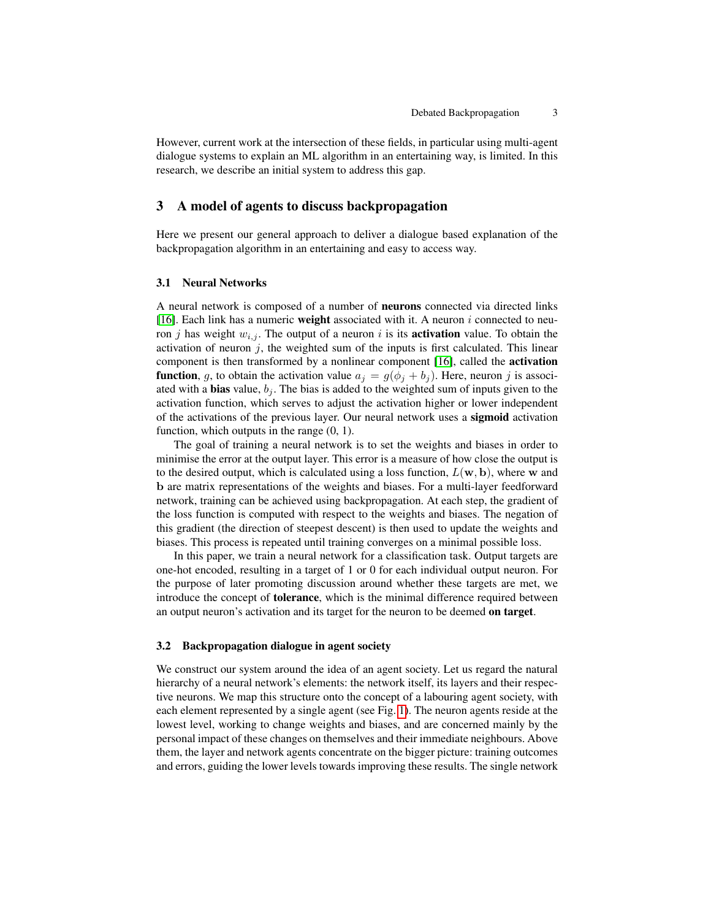However, current work at the intersection of these fields, in particular using multi-agent dialogue systems to explain an ML algorithm in an entertaining way, is limited. In this research, we describe an initial system to address this gap.

## 3 A model of agents to discuss backpropagation

Here we present our general approach to deliver a dialogue based explanation of the backpropagation algorithm in an entertaining and easy to access way.

### 3.1 Neural Networks

A neural network is composed of a number of neurons connected via directed links [\[16\]](#page-11-16). Each link has a numeric weight associated with it. A neuron  $i$  connected to neuron j has weight  $w_{i,j}$ . The output of a neuron i is its **activation** value. To obtain the activation of neuron  $j$ , the weighted sum of the inputs is first calculated. This linear component is then transformed by a nonlinear component [\[16\]](#page-11-16), called the activation **function**, g, to obtain the activation value  $a_i = g(\phi_i + b_i)$ . Here, neuron j is associated with a **bias** value,  $b_j$ . The bias is added to the weighted sum of inputs given to the activation function, which serves to adjust the activation higher or lower independent of the activations of the previous layer. Our neural network uses a sigmoid activation function, which outputs in the range (0, 1).

The goal of training a neural network is to set the weights and biases in order to minimise the error at the output layer. This error is a measure of how close the output is to the desired output, which is calculated using a loss function,  $L(\mathbf{w}, \mathbf{b})$ , where w and b are matrix representations of the weights and biases. For a multi-layer feedforward network, training can be achieved using backpropagation. At each step, the gradient of the loss function is computed with respect to the weights and biases. The negation of this gradient (the direction of steepest descent) is then used to update the weights and biases. This process is repeated until training converges on a minimal possible loss.

In this paper, we train a neural network for a classification task. Output targets are one-hot encoded, resulting in a target of 1 or 0 for each individual output neuron. For the purpose of later promoting discussion around whether these targets are met, we introduce the concept of tolerance, which is the minimal difference required between an output neuron's activation and its target for the neuron to be deemed on target.

### 3.2 Backpropagation dialogue in agent society

We construct our system around the idea of an agent society. Let us regard the natural hierarchy of a neural network's elements: the network itself, its layers and their respective neurons. We map this structure onto the concept of a labouring agent society, with each element represented by a single agent (see Fig. [1\)](#page-3-0). The neuron agents reside at the lowest level, working to change weights and biases, and are concerned mainly by the personal impact of these changes on themselves and their immediate neighbours. Above them, the layer and network agents concentrate on the bigger picture: training outcomes and errors, guiding the lower levels towards improving these results. The single network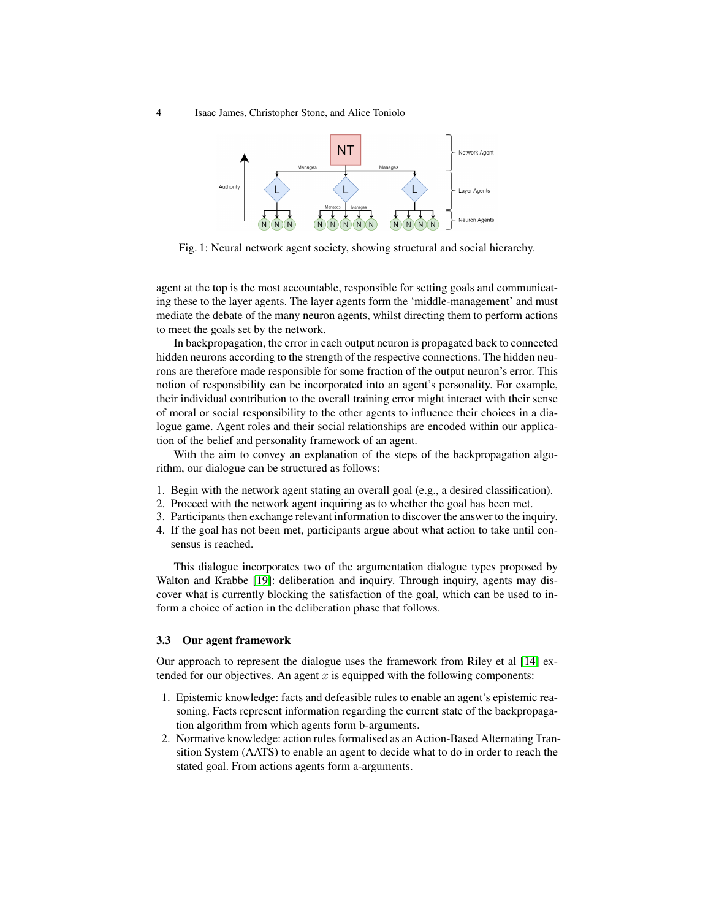<span id="page-3-0"></span>4 Isaac James, Christopher Stone, and Alice Toniolo



Fig. 1: Neural network agent society, showing structural and social hierarchy.

agent at the top is the most accountable, responsible for setting goals and communicating these to the layer agents. The layer agents form the 'middle-management' and must mediate the debate of the many neuron agents, whilst directing them to perform actions to meet the goals set by the network.

In backpropagation, the error in each output neuron is propagated back to connected hidden neurons according to the strength of the respective connections. The hidden neurons are therefore made responsible for some fraction of the output neuron's error. This notion of responsibility can be incorporated into an agent's personality. For example, their individual contribution to the overall training error might interact with their sense of moral or social responsibility to the other agents to influence their choices in a dialogue game. Agent roles and their social relationships are encoded within our application of the belief and personality framework of an agent.

With the aim to convey an explanation of the steps of the backpropagation algorithm, our dialogue can be structured as follows:

- 1. Begin with the network agent stating an overall goal (e.g., a desired classification).
- 2. Proceed with the network agent inquiring as to whether the goal has been met.
- 3. Participants then exchange relevant information to discover the answer to the inquiry.
- 4. If the goal has not been met, participants argue about what action to take until consensus is reached.

This dialogue incorporates two of the argumentation dialogue types proposed by Walton and Krabbe [\[19\]](#page-11-5): deliberation and inquiry. Through inquiry, agents may discover what is currently blocking the satisfaction of the goal, which can be used to inform a choice of action in the deliberation phase that follows.

#### 3.3 Our agent framework

Our approach to represent the dialogue uses the framework from Riley et al [\[14\]](#page-11-6) extended for our objectives. An agent  $x$  is equipped with the following components:

- 1. Epistemic knowledge: facts and defeasible rules to enable an agent's epistemic reasoning. Facts represent information regarding the current state of the backpropagation algorithm from which agents form b-arguments.
- 2. Normative knowledge: action rules formalised as an Action-Based Alternating Transition System (AATS) to enable an agent to decide what to do in order to reach the stated goal. From actions agents form a-arguments.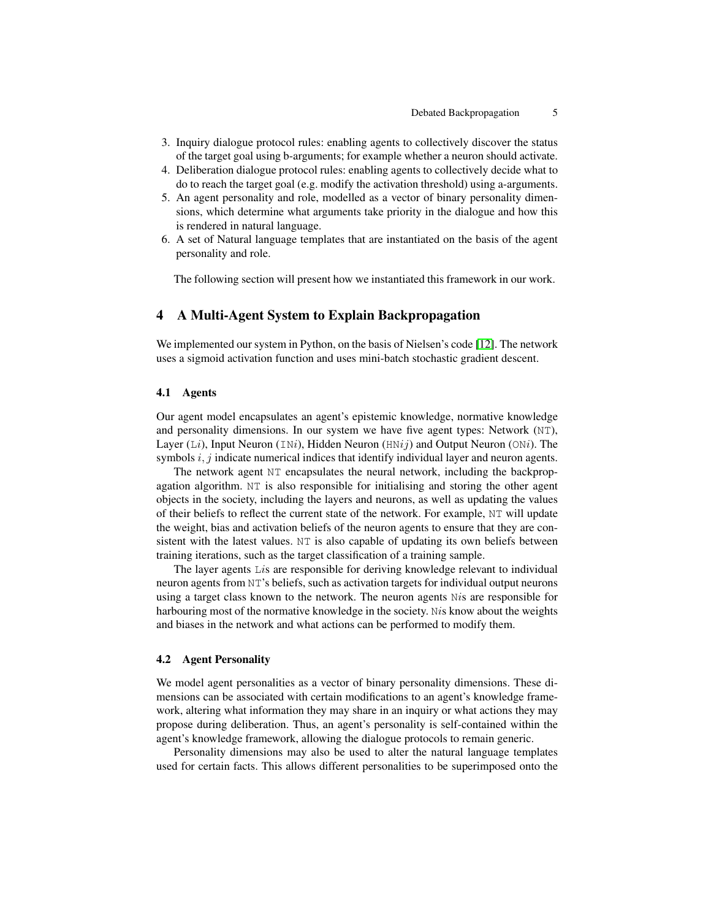- 3. Inquiry dialogue protocol rules: enabling agents to collectively discover the status of the target goal using b-arguments; for example whether a neuron should activate.
- 4. Deliberation dialogue protocol rules: enabling agents to collectively decide what to do to reach the target goal (e.g. modify the activation threshold) using a-arguments.
- 5. An agent personality and role, modelled as a vector of binary personality dimensions, which determine what arguments take priority in the dialogue and how this is rendered in natural language.
- 6. A set of Natural language templates that are instantiated on the basis of the agent personality and role.

The following section will present how we instantiated this framework in our work.

## 4 A Multi-Agent System to Explain Backpropagation

We implemented our system in Python, on the basis of Nielsen's code [\[12\]](#page-11-17). The network uses a sigmoid activation function and uses mini-batch stochastic gradient descent.

#### 4.1 Agents

Our agent model encapsulates an agent's epistemic knowledge, normative knowledge and personality dimensions. In our system we have five agent types: Network (NT), Layer (Li), Input Neuron (INi), Hidden Neuron (HNij) and Output Neuron (ONi). The symbols  $i, j$  indicate numerical indices that identify individual layer and neuron agents.

The network agent NT encapsulates the neural network, including the backpropagation algorithm. NT is also responsible for initialising and storing the other agent objects in the society, including the layers and neurons, as well as updating the values of their beliefs to reflect the current state of the network. For example, NT will update the weight, bias and activation beliefs of the neuron agents to ensure that they are consistent with the latest values. NT is also capable of updating its own beliefs between training iterations, such as the target classification of a training sample.

The layer agents Lis are responsible for deriving knowledge relevant to individual neuron agents from NT's beliefs, such as activation targets for individual output neurons using a target class known to the network. The neuron agents Nis are responsible for harbouring most of the normative knowledge in the society. Nis know about the weights and biases in the network and what actions can be performed to modify them.

### 4.2 Agent Personality

We model agent personalities as a vector of binary personality dimensions. These dimensions can be associated with certain modifications to an agent's knowledge framework, altering what information they may share in an inquiry or what actions they may propose during deliberation. Thus, an agent's personality is self-contained within the agent's knowledge framework, allowing the dialogue protocols to remain generic.

Personality dimensions may also be used to alter the natural language templates used for certain facts. This allows different personalities to be superimposed onto the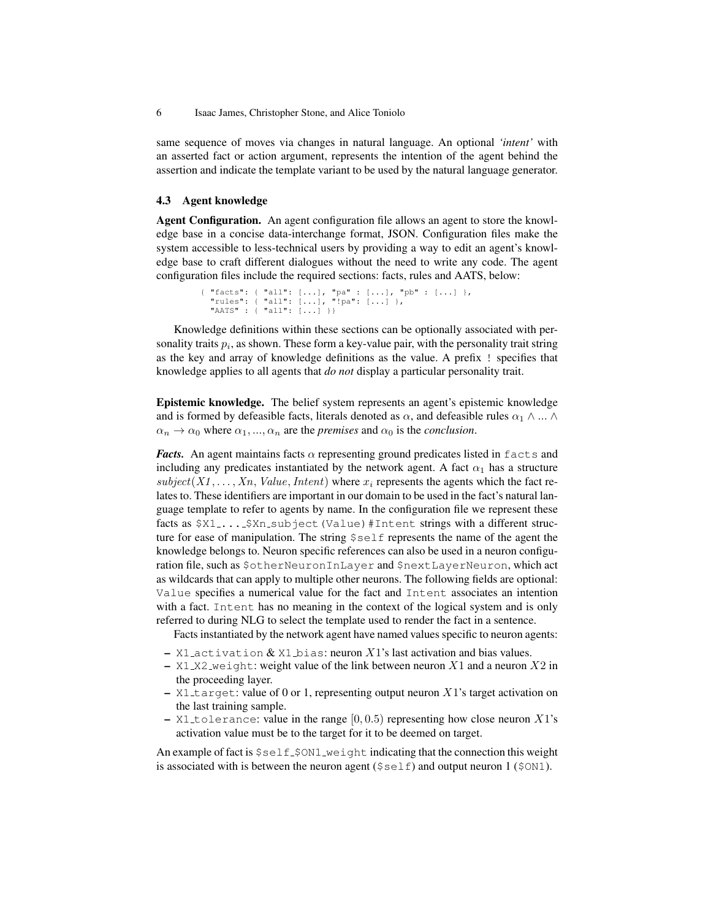same sequence of moves via changes in natural language. An optional *'intent'* with an asserted fact or action argument, represents the intention of the agent behind the assertion and indicate the template variant to be used by the natural language generator.

#### 4.3 Agent knowledge

Agent Configuration. An agent configuration file allows an agent to store the knowledge base in a concise data-interchange format, JSON. Configuration files make the system accessible to less-technical users by providing a way to edit an agent's knowledge base to craft different dialogues without the need to write any code. The agent configuration files include the required sections: facts, rules and AATS, below:

```
{ "facts": { "all": [...], "pa" : [...], "pb" : [...] },<br> "rules": { "all": [...], "!pa": [...] },<br> "AATS" : { "all": [...] }}
```
Knowledge definitions within these sections can be optionally associated with personality traits  $p_i$ , as shown. These form a key-value pair, with the personality trait string as the key and array of knowledge definitions as the value. A prefix ! specifies that knowledge applies to all agents that *do not* display a particular personality trait.

Epistemic knowledge. The belief system represents an agent's epistemic knowledge and is formed by defeasible facts, literals denoted as  $\alpha$ , and defeasible rules  $\alpha_1 \wedge ... \wedge$  $\alpha_n \to \alpha_0$  where  $\alpha_1, ..., \alpha_n$  are the *premises* and  $\alpha_0$  is the *conclusion*.

*Facts.* An agent maintains facts  $\alpha$  representing ground predicates listed in  $f$ acts and including any predicates instantiated by the network agent. A fact  $\alpha_1$  has a structure  $subject(X1, \ldots, Xn, Value, Internet)$  where  $x_i$  represents the agents which the fact relates to. These identifiers are important in our domain to be used in the fact's natural language template to refer to agents by name. In the configuration file we represent these facts as \$X1....\$Xn\_subject(Value)#Intent strings with a different structure for ease of manipulation. The string \$self represents the name of the agent the knowledge belongs to. Neuron specific references can also be used in a neuron configuration file, such as \$otherNeuronInLayer and \$nextLayerNeuron, which act as wildcards that can apply to multiple other neurons. The following fields are optional: Value specifies a numerical value for the fact and Intent associates an intention with a fact. Intent has no meaning in the context of the logical system and is only referred to during NLG to select the template used to render the fact in a sentence.

Facts instantiated by the network agent have named values specific to neuron agents:

- X1 activation  $&$  X1 bias: neuron X1's last activation and bias values.
- X1\_X2\_weight: weight value of the link between neuron X1 and a neuron X2 in the proceeding layer.
- $X1$  target: value of 0 or 1, representing output neuron X1's target activation on the last training sample.
- X1 tolerance: value in the range  $[0, 0.5)$  representing how close neuron X1's activation value must be to the target for it to be deemed on target.

An example of fact is  $$self\_SON1_we$ ight indicating that the connection this weight is associated with is between the neuron agent  $(\frac{2}{5} \text{se}\, 1f)$  and output neuron 1 ( $\frac{2}{5}$ ON1).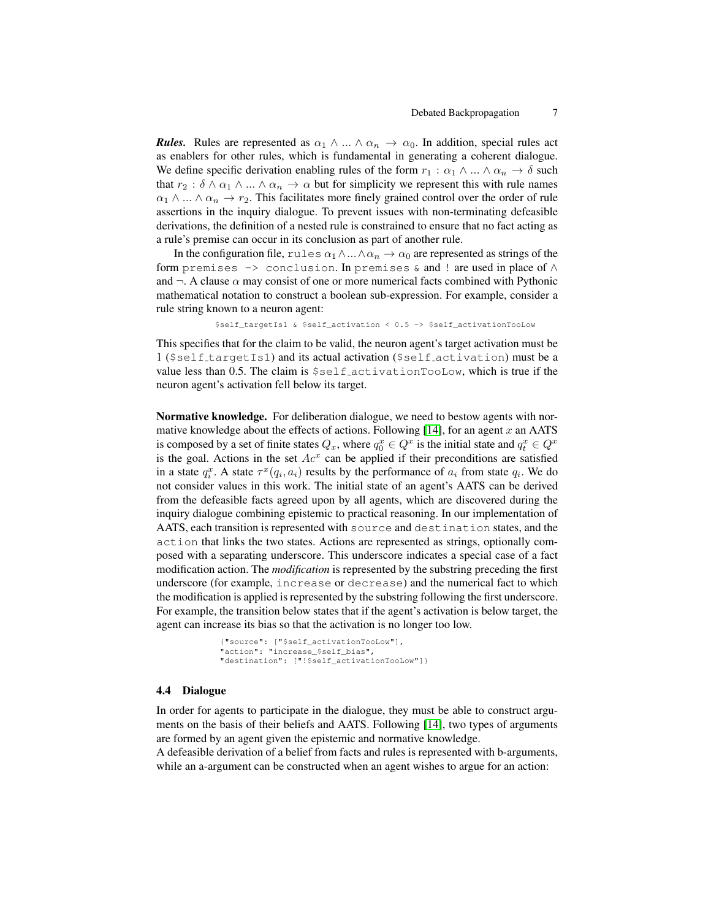*Rules.* Rules are represented as  $\alpha_1 \wedge ... \wedge \alpha_n \rightarrow \alpha_0$ . In addition, special rules act as enablers for other rules, which is fundamental in generating a coherent dialogue. We define specific derivation enabling rules of the form  $r_1 : \alpha_1 \wedge ... \wedge \alpha_n \rightarrow \delta$  such that  $r_2 : \delta \wedge \alpha_1 \wedge ... \wedge \alpha_n \rightarrow \alpha$  but for simplicity we represent this with rule names  $\alpha_1 \wedge ... \wedge \alpha_n \rightarrow r_2$ . This facilitates more finely grained control over the order of rule assertions in the inquiry dialogue. To prevent issues with non-terminating defeasible derivations, the definition of a nested rule is constrained to ensure that no fact acting as a rule's premise can occur in its conclusion as part of another rule.

In the configuration file, rules  $\alpha_1 \wedge \ldots \wedge \alpha_n \rightarrow \alpha_0$  are represented as strings of the form premises  $\rightarrow$  conclusion. In premises & and ! are used in place of  $\land$ and  $\neg$ . A clause  $\alpha$  may consist of one or more numerical facts combined with Pythonic mathematical notation to construct a boolean sub-expression. For example, consider a rule string known to a neuron agent:

\$self\_targetIs1 & \$self\_activation < 0.5 -> \$self\_activationTooLow

This specifies that for the claim to be valid, the neuron agent's target activation must be 1 (\$self targetIs1) and its actual activation (\$self activation) must be a value less than 0.5. The claim is \$self activationTooLow, which is true if the neuron agent's activation fell below its target.

Normative knowledge. For deliberation dialogue, we need to bestow agents with normative knowledge about the effects of actions. Following  $[14]$ , for an agent x an AATS is composed by a set of finite states  $Q_x$ , where  $q_0^x \in Q^x$  is the initial state and  $q_t^x \in Q^x$ is the goal. Actions in the set  $Ac^x$  can be applied if their preconditions are satisfied in a state  $q_i^x$ . A state  $\tau^x(q_i, a_i)$  results by the performance of  $a_i$  from state  $q_i$ . We do not consider values in this work. The initial state of an agent's AATS can be derived from the defeasible facts agreed upon by all agents, which are discovered during the inquiry dialogue combining epistemic to practical reasoning. In our implementation of AATS, each transition is represented with source and destination states, and the action that links the two states. Actions are represented as strings, optionally composed with a separating underscore. This underscore indicates a special case of a fact modification action. The *modification* is represented by the substring preceding the first underscore (for example, increase or decrease) and the numerical fact to which the modification is applied is represented by the substring following the first underscore. For example, the transition below states that if the agent's activation is below target, the agent can increase its bias so that the activation is no longer too low.

```
{"source": ["$self_activationTooLow"],
"action": "increase_$self_bias",
"destination": ["!$self_activationTooLow"]}
```
### 4.4 Dialogue

In order for agents to participate in the dialogue, they must be able to construct arguments on the basis of their beliefs and AATS. Following [\[14\]](#page-11-6), two types of arguments are formed by an agent given the epistemic and normative knowledge.

A defeasible derivation of a belief from facts and rules is represented with b-arguments, while an a-argument can be constructed when an agent wishes to argue for an action: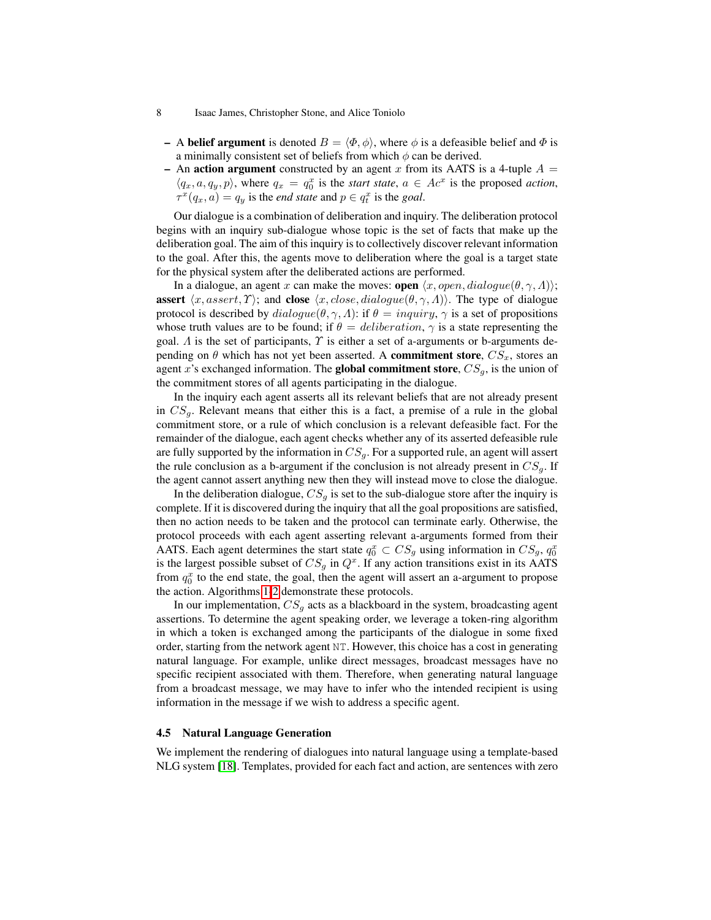- A **belief argument** is denoted  $B = \langle \Phi, \phi \rangle$ , where  $\phi$  is a defeasible belief and  $\Phi$  is a minimally consistent set of beliefs from which  $\phi$  can be derived.
- An action argument constructed by an agent x from its AATS is a 4-tuple  $A =$  $\langle q_x, a, q_y, p \rangle$ , where  $q_x = q_0^x$  is the *start state*,  $a \in Ac^x$  is the proposed *action*,  $\tau^x(q_x, a) = q_y$  is the *end state* and  $p \in q_t^x$  is the *goal*.

Our dialogue is a combination of deliberation and inquiry. The deliberation protocol begins with an inquiry sub-dialogue whose topic is the set of facts that make up the deliberation goal. The aim of this inquiry is to collectively discover relevant information to the goal. After this, the agents move to deliberation where the goal is a target state for the physical system after the deliberated actions are performed.

In a dialogue, an agent x can make the moves: **open**  $\langle x, open, dialogue(\theta, \gamma, \Lambda) \rangle$ ; assert  $\langle x, assert, \Upsilon \rangle$ ; and close  $\langle x, close, dialogue(\theta, \gamma, \Lambda) \rangle$ . The type of dialogue protocol is described by  $dialogue(\theta, \gamma, \Lambda)$ : if  $\theta = inquiry, \gamma$  is a set of propositions whose truth values are to be found; if  $\theta =$  deliberation,  $\gamma$  is a state representing the goal.  $\Lambda$  is the set of participants,  $\Upsilon$  is either a set of a-arguments or b-arguments depending on  $\theta$  which has not yet been asserted. A **commitment store**,  $CS_x$ , stores an agent x's exchanged information. The global commitment store,  $CS_g$ , is the union of the commitment stores of all agents participating in the dialogue.

In the inquiry each agent asserts all its relevant beliefs that are not already present in  $CS_q$ . Relevant means that either this is a fact, a premise of a rule in the global commitment store, or a rule of which conclusion is a relevant defeasible fact. For the remainder of the dialogue, each agent checks whether any of its asserted defeasible rule are fully supported by the information in  $CS_q$ . For a supported rule, an agent will assert the rule conclusion as a b-argument if the conclusion is not already present in  $CS_g$ . If the agent cannot assert anything new then they will instead move to close the dialogue.

In the deliberation dialogue,  $CS_q$  is set to the sub-dialogue store after the inquiry is complete. If it is discovered during the inquiry that all the goal propositions are satisfied, then no action needs to be taken and the protocol can terminate early. Otherwise, the protocol proceeds with each agent asserting relevant a-arguments formed from their AATS. Each agent determines the start state  $q_0^x \,\subset\, CS_g$  using information in  $CS_g$ ,  $q_0^x$ is the largest possible subset of  $CS_g$  in  $Q^x$ . If any action transitions exist in its AATS from  $q_0^x$  to the end state, the goal, then the agent will assert an a-argument to propose the action. Algorithms [1-](#page-8-0)[2](#page-8-1) demonstrate these protocols.

In our implementation,  $CS<sub>g</sub>$  acts as a blackboard in the system, broadcasting agent assertions. To determine the agent speaking order, we leverage a token-ring algorithm in which a token is exchanged among the participants of the dialogue in some fixed order, starting from the network agent NT. However, this choice has a cost in generating natural language. For example, unlike direct messages, broadcast messages have no specific recipient associated with them. Therefore, when generating natural language from a broadcast message, we may have to infer who the intended recipient is using information in the message if we wish to address a specific agent.

### 4.5 Natural Language Generation

We implement the rendering of dialogues into natural language using a template-based NLG system [\[18\]](#page-11-14). Templates, provided for each fact and action, are sentences with zero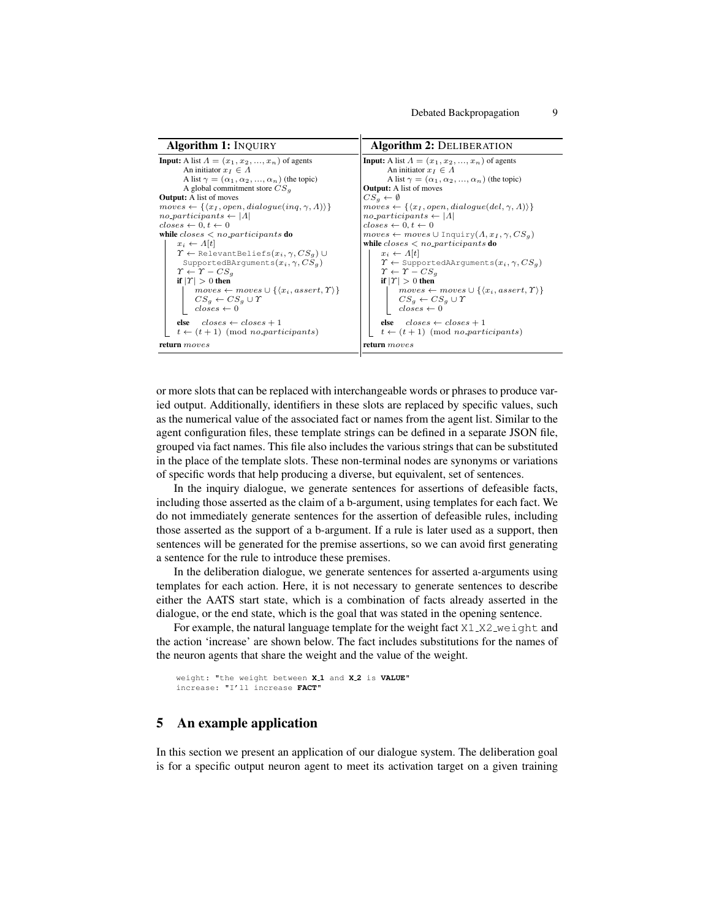<span id="page-8-1"></span><span id="page-8-0"></span>

| <b>Algorithm 1: INQUIRY</b>                                                                                                                                                                                                                                                                                                                                                                                                                                                                                                                                                                                                                                                                                                                                                                                                                                                                                                              | <b>Algorithm 2: DELIBERATION</b>                                                                                                                                                                                                                                                                                                                                                                                                                                                                                                                                                                                                                                                                                                                                                                                                                                                                                                            |  |
|------------------------------------------------------------------------------------------------------------------------------------------------------------------------------------------------------------------------------------------------------------------------------------------------------------------------------------------------------------------------------------------------------------------------------------------------------------------------------------------------------------------------------------------------------------------------------------------------------------------------------------------------------------------------------------------------------------------------------------------------------------------------------------------------------------------------------------------------------------------------------------------------------------------------------------------|---------------------------------------------------------------------------------------------------------------------------------------------------------------------------------------------------------------------------------------------------------------------------------------------------------------------------------------------------------------------------------------------------------------------------------------------------------------------------------------------------------------------------------------------------------------------------------------------------------------------------------------------------------------------------------------------------------------------------------------------------------------------------------------------------------------------------------------------------------------------------------------------------------------------------------------------|--|
| <b>Input:</b> A list $A = (x_1, x_2, , x_n)$ of agents<br>An initiator $x_I \in \Lambda$<br>A list $\gamma = (\alpha_1, \alpha_2, , \alpha_n)$ (the topic)<br>A global commitment store $CSa$<br><b>Output:</b> A list of moves<br>$moves \leftarrow \{\langle x_I, open, dialogue(inq, \gamma, \Lambda) \rangle\}$<br>$no\_participants \leftarrow  \Lambda $<br>$closes \leftarrow 0, t \leftarrow 0$<br>while $\text{closes} \leq n\text{c-participants}$ do<br>$x_i \leftarrow \Lambda[t]$<br>$\Upsilon \leftarrow$ Relevant Beliefs $(x_i, \gamma, CS_g)$ $\cup$<br>SupportedBArquments $(x_i, \gamma, CS_g)$<br>$\Upsilon \leftarrow \Upsilon - CS_a$<br>if $ T  > 0$ then<br>$moves \leftarrow moves \cup \{\langle x_i, assert, \Upsilon \rangle\}$<br>$CS_q \leftarrow CS_q \cup \Upsilon$<br>$\textit{closes} \leftarrow 0$<br>else $\text{closes} \leftarrow \text{closes} + 1$<br>$t \leftarrow (t+1)$ (mod no participants) | <b>Input:</b> A list $A = (x_1, x_2, , x_n)$ of agents<br>An initiator $x_I \in \Lambda$<br>A list $\gamma = (\alpha_1, \alpha_2, , \alpha_n)$ (the topic)<br><b>Output:</b> A list of moves<br>$CS_a \leftarrow \emptyset$<br>$moves \leftarrow \{\langle x_I, open, dialogue(del, \gamma, \Lambda) \rangle\}$<br>$no\_participants \leftarrow  A $<br>$closes \leftarrow 0, t \leftarrow 0$<br>$moves \leftarrow moves \cup Inquiry(A, x_I, \gamma, CS_a)$<br>while $\text{closes} \leq n\text{c-participants}$ do<br>$x_i \leftarrow A t $<br>$\Upsilon \leftarrow$ Supported AA rquiments $(x_i, \gamma, CS_g)$<br>$\Upsilon \leftarrow \Upsilon - CS_a$<br>if $ T  > 0$ then<br>$moves \leftarrow moves \cup \{\langle x_i, assert, \Upsilon \rangle\}$<br>$CS_a \leftarrow CS_a \cup \Upsilon$<br>$\textit{closes} \leftarrow 0$<br>else $\text{closes} \leftarrow \text{closes} + 1$<br>$t \leftarrow (t+1) \pmod{no\_participants}$ |  |
| return <i>moves</i>                                                                                                                                                                                                                                                                                                                                                                                                                                                                                                                                                                                                                                                                                                                                                                                                                                                                                                                      | return <i>moves</i>                                                                                                                                                                                                                                                                                                                                                                                                                                                                                                                                                                                                                                                                                                                                                                                                                                                                                                                         |  |

or more slots that can be replaced with interchangeable words or phrases to produce varied output. Additionally, identifiers in these slots are replaced by specific values, such as the numerical value of the associated fact or names from the agent list. Similar to the agent configuration files, these template strings can be defined in a separate JSON file, grouped via fact names. This file also includes the various strings that can be substituted in the place of the template slots. These non-terminal nodes are synonyms or variations of specific words that help producing a diverse, but equivalent, set of sentences.

In the inquiry dialogue, we generate sentences for assertions of defeasible facts, including those asserted as the claim of a b-argument, using templates for each fact. We do not immediately generate sentences for the assertion of defeasible rules, including those asserted as the support of a b-argument. If a rule is later used as a support, then sentences will be generated for the premise assertions, so we can avoid first generating a sentence for the rule to introduce these premises.

In the deliberation dialogue, we generate sentences for asserted a-arguments using templates for each action. Here, it is not necessary to generate sentences to describe either the AATS start state, which is a combination of facts already asserted in the dialogue, or the end state, which is the goal that was stated in the opening sentence.

For example, the natural language template for the weight fact  $X1_XZ_W$  weight and the action 'increase' are shown below. The fact includes substitutions for the names of the neuron agents that share the weight and the value of the weight.

```
weight: "the weight between X 1 and X 2 is VALUE"
increase: "I'll increase FACT"
```
## 5 An example application

In this section we present an application of our dialogue system. The deliberation goal is for a specific output neuron agent to meet its activation target on a given training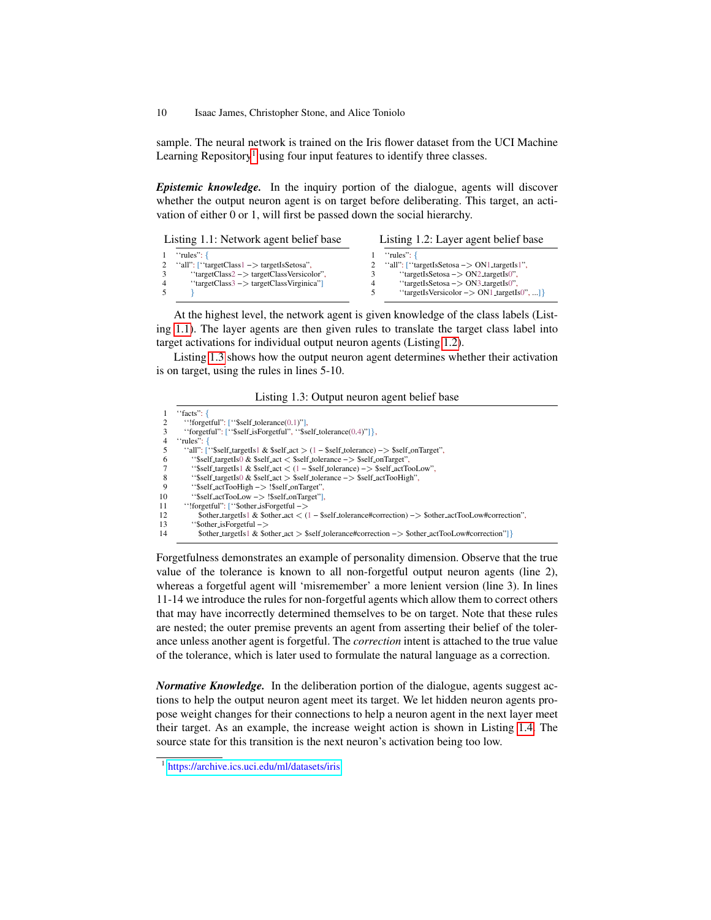sample. The neural network is trained on the Iris flower dataset from the UCI Machine Learning Repository<sup>[1](#page-9-0)</sup> using four input features to identify three classes.

*Epistemic knowledge.* In the inquiry portion of the dialogue, agents will discover whether the output neuron agent is on target before deliberating. This target, an activation of either 0 or 1, will first be passed down the social hierarchy.

<span id="page-9-1"></span>

| Listing 1.1: Network agent belief base |                                                                  | Listing 1.2: Layer agent belief base |                                                       |
|----------------------------------------|------------------------------------------------------------------|--------------------------------------|-------------------------------------------------------|
|                                        | $"rules"$ : {                                                    |                                      | $"rules"$ : {                                         |
|                                        | "all": ["targetClass $1 \rightarrow$ targetIsSetosa",            |                                      | "all": ["targetIsSetosa $\rightarrow$ ON1_targetIs1", |
|                                        | "targetClass2 $->$ targetClassVersicolor",                       |                                      | "targetIsSetosa $-> ON2$ _targetIs0",                 |
|                                        | " $\text{targetClass3} \rightarrow \text{targetClassVirginica"}$ | 4                                    | "targetIsSetosa $-> ON3$ _targetIs0",                 |
|                                        |                                                                  |                                      | "targetIsVersicolor $\rightarrow$ ON1_targetIs0", ]}  |

At the highest level, the network agent is given knowledge of the class labels (Listing [1.1\)](#page-9-1). The layer agents are then given rules to translate the target class label into target activations for individual output neuron agents (Listing [1.2\)](#page-9-2).

Listing [1.3](#page-9-3) shows how the output neuron agent determines whether their activation is on target, using the rules in lines 5-10.

<span id="page-9-2"></span>Listing 1.3: Output neuron agent belief base

<span id="page-9-3"></span>

|                | "facts": {                                                                                                                                                                                                                                                                                                            |
|----------------|-----------------------------------------------------------------------------------------------------------------------------------------------------------------------------------------------------------------------------------------------------------------------------------------------------------------------|
| 2              | ": ["\$self_tolerance $(0.1)$ "],                                                                                                                                                                                                                                                                                     |
| 3              | "forgetful": $['$self_isForeetful", "$self_tolerance(0.4)"]$ ,                                                                                                                                                                                                                                                        |
| $\overline{4}$ | "rules": $\{$                                                                                                                                                                                                                                                                                                         |
| 5              | "all": ["\$self_targetIs1 & \$self_act $>(1 - $self\_tolerance)$ -> \$self_onTarget",                                                                                                                                                                                                                                 |
| 6              | "\$self_targetIs0 $&$ \$self_act $&$ \$self_tolerance $-&$ \$self_onTarget",                                                                                                                                                                                                                                          |
| 7              | "Sself_targetIs1 & \$self_act $\lt$ (1 – \$self_tolerance) –> \$self_actTooLow",                                                                                                                                                                                                                                      |
| 8              | "\$self_targetIs0 $\&$ \$self_act $\&$ \$self_tolerance $\rightarrow$ \$self_actTooHigh",                                                                                                                                                                                                                             |
| 9              | "\$self_actTooHigh -> !\$self_onTarget",                                                                                                                                                                                                                                                                              |
| 10             | "\$self_actTooLow -> !\$self_onTarget",                                                                                                                                                                                                                                                                               |
| 11             | "!forgetful": $\lceil$ "\$other_isForgetful $\rightarrow$                                                                                                                                                                                                                                                             |
| 12             | \$other_targetIs1 & \$other_act < $(1 - $self\_tolerance \# correction)$ -> \$other_actTooLow#correction",                                                                                                                                                                                                            |
| 13             | "\$other_isForgetful $->$                                                                                                                                                                                                                                                                                             |
| 14             | $\{8 \times 1\}$ & $\{8 \times 1\}$ & $\{8 \times 1\}$ $\{8 \times 1\}$ $\{8 \times 1\}$ $\{8 \times 1\}$ $\{1 \times 1\}$ $\{1 \times 1\}$ $\{1 \times 1\}$ $\{1 \times 1\}$ $\{1 \times 1\}$ $\{1 \times 1\}$ $\{1 \times 1\}$ $\{1 \times 1\}$ $\{1 \times 1\}$ $\{1 \times 1\}$ $\{1 \times 1\}$ $\{1 \times 1\}$ |

Forgetfulness demonstrates an example of personality dimension. Observe that the true value of the tolerance is known to all non-forgetful output neuron agents (line 2), whereas a forgetful agent will 'misremember' a more lenient version (line 3). In lines 11-14 we introduce the rules for non-forgetful agents which allow them to correct others that may have incorrectly determined themselves to be on target. Note that these rules are nested; the outer premise prevents an agent from asserting their belief of the tolerance unless another agent is forgetful. The *correction* intent is attached to the true value of the tolerance, which is later used to formulate the natural language as a correction.

*Normative Knowledge.* In the deliberation portion of the dialogue, agents suggest actions to help the output neuron agent meet its target. We let hidden neuron agents propose weight changes for their connections to help a neuron agent in the next layer meet their target. As an example, the increase weight action is shown in Listing [1.4.](#page-10-0) The source state for this transition is the next neuron's activation being too low.

<span id="page-9-0"></span><sup>1</sup> <https://archive.ics.uci.edu/ml/datasets/iris>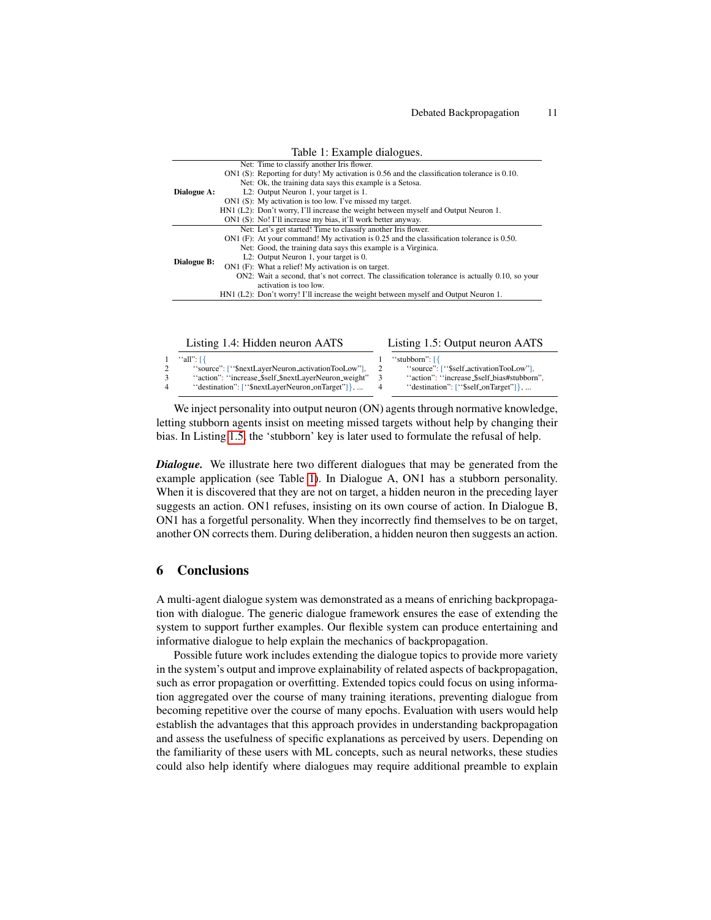<span id="page-10-2"></span>

| Table 1: Example dialogues. |  |                                                                                                |  |
|-----------------------------|--|------------------------------------------------------------------------------------------------|--|
|                             |  | Net: Time to classify another Iris flower.                                                     |  |
|                             |  | ON1 (S): Reporting for duty! My activation is 0.56 and the classification tolerance is 0.10.   |  |
|                             |  | Net: Ok, the training data says this example is a Setosa.                                      |  |
| Dialogue A:                 |  | L2: Output Neuron 1, your target is 1.                                                         |  |
|                             |  | ON1 (S): My activation is too low. I've missed my target.                                      |  |
|                             |  | HN1 (L2): Don't worry, I'll increase the weight between myself and Output Neuron 1.            |  |
|                             |  | ON1 (S): No! I'll increase my bias, it'll work better anyway.                                  |  |
|                             |  | Net: Let's get started! Time to classify another Iris flower.                                  |  |
|                             |  | $ON1$ (F): At your command! My activation is 0.25 and the classification tolerance is 0.50.    |  |
|                             |  | Net: Good, the training data says this example is a Virginica.                                 |  |
|                             |  | L2: Output Neuron 1, your target is 0.                                                         |  |
| Dialogue B:                 |  | ON1 (F): What a relief! My activation is on target.                                            |  |
|                             |  | ON2: Wait a second, that's not correct. The classification tolerance is actually 0.10, so your |  |
|                             |  | activation is too low.                                                                         |  |
|                             |  | $HM1 (L2)$ : Don't worry! I'll increase the weight between myself and Output Neuron 1.         |  |
|                             |  |                                                                                                |  |

Listing 1.4: Hidden neuron AATS

<span id="page-10-1"></span>Listing 1.5: Output neuron AATS

<span id="page-10-0"></span>

| $1$ "all": $\lceil \cdot \rceil$                     | "stubborn": $\lceil \cdot \rceil$          |
|------------------------------------------------------|--------------------------------------------|
| "source": ["\$nextLayerNeuron_activationTooLow"],    | "source": ["\$self_activationTooLow"].     |
| "action": "increase_\$self_\$nextLayerNeuron_weight" | "action": "increase_\$self_bias#stubborn". |
| "destination": ["\$nextLayerNeuron_onTarget"]},      | "destination": $['$self-onTarget"]$ ,      |
|                                                      |                                            |

We inject personality into output neuron (ON) agents through normative knowledge, letting stubborn agents insist on meeting missed targets without help by changing their bias. In Listing [1.5,](#page-10-1) the 'stubborn' key is later used to formulate the refusal of help.

*Dialogue.* We illustrate here two different dialogues that may be generated from the example application (see Table [1\)](#page-10-2). In Dialogue A, ON1 has a stubborn personality. When it is discovered that they are not on target, a hidden neuron in the preceding layer suggests an action. ON1 refuses, insisting on its own course of action. In Dialogue B, ON1 has a forgetful personality. When they incorrectly find themselves to be on target, another ON corrects them. During deliberation, a hidden neuron then suggests an action.

## 6 Conclusions

A multi-agent dialogue system was demonstrated as a means of enriching backpropagation with dialogue. The generic dialogue framework ensures the ease of extending the system to support further examples. Our flexible system can produce entertaining and informative dialogue to help explain the mechanics of backpropagation.

Possible future work includes extending the dialogue topics to provide more variety in the system's output and improve explainability of related aspects of backpropagation, such as error propagation or overfitting. Extended topics could focus on using information aggregated over the course of many training iterations, preventing dialogue from becoming repetitive over the course of many epochs. Evaluation with users would help establish the advantages that this approach provides in understanding backpropagation and assess the usefulness of specific explanations as perceived by users. Depending on the familiarity of these users with ML concepts, such as neural networks, these studies could also help identify where dialogues may require additional preamble to explain